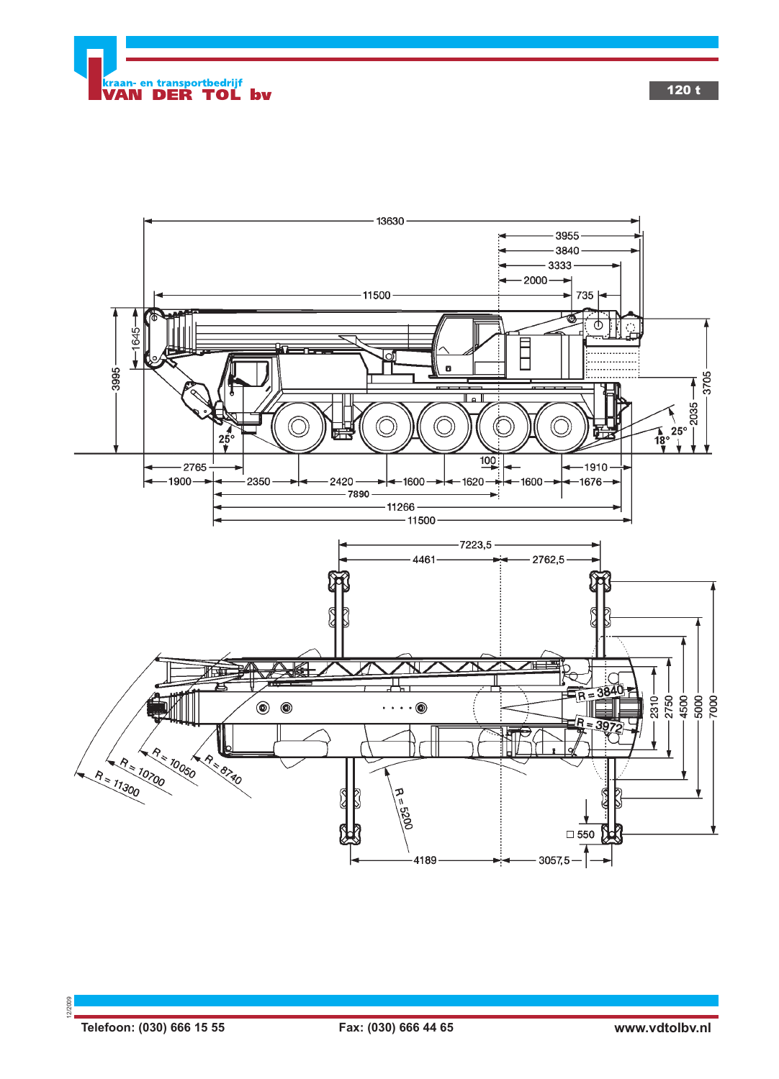



12/2009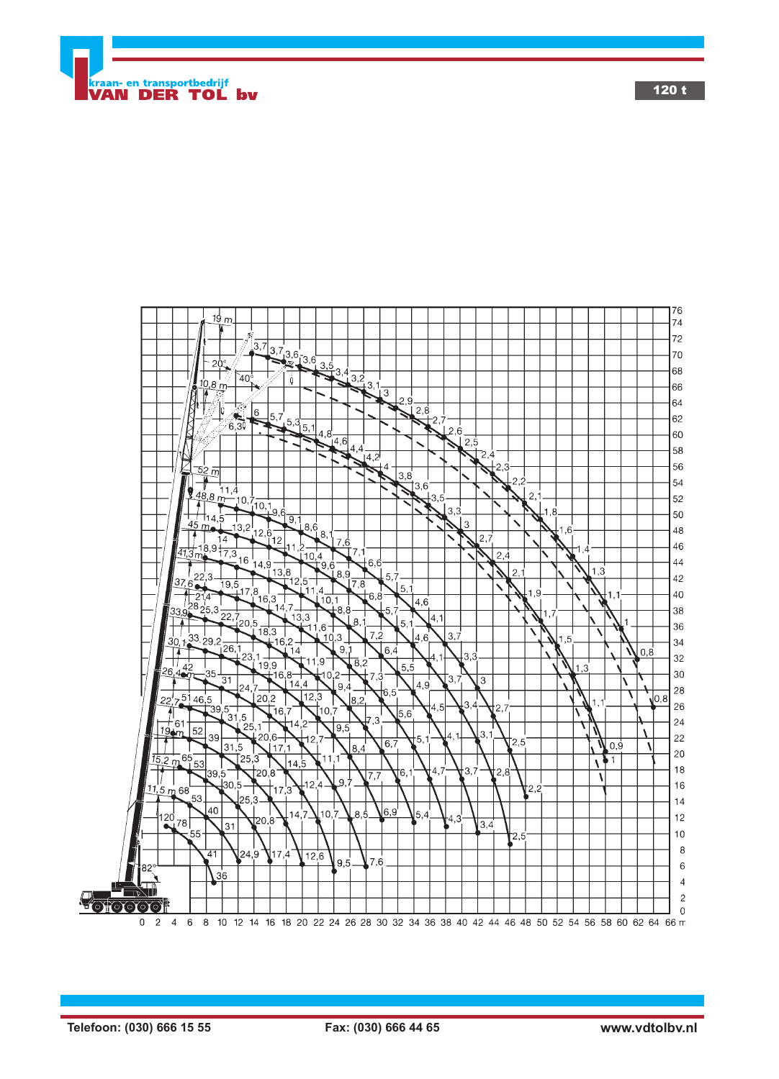

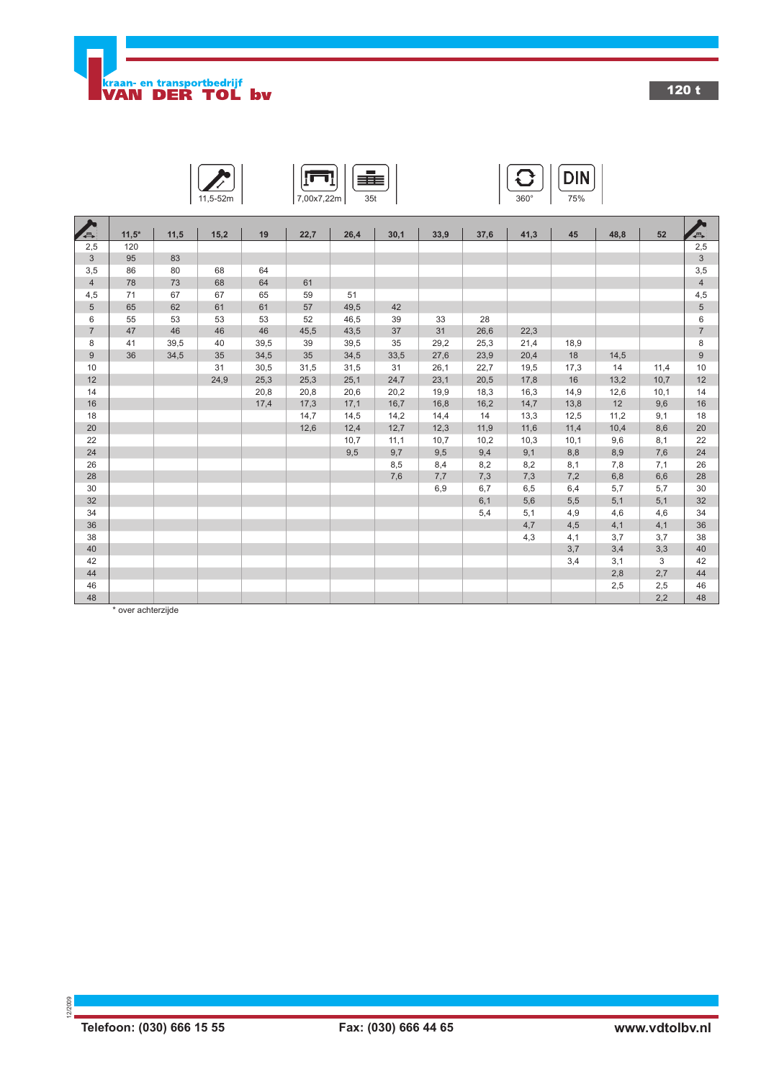

п

 $\blacksquare$ .

120 t





| A                | $11,5*$ | 11,5 | 15,2 | 19   | 22,7 | 26,4 | 30,1 | 33,9 | 37,6 | 41,3 | 45   | 48,8 | 52   | $\overline{a}$ |
|------------------|---------|------|------|------|------|------|------|------|------|------|------|------|------|----------------|
| 2,5              | 120     |      |      |      |      |      |      |      |      |      |      |      |      | 2,5            |
| $\mathbf{3}$     | 95      | 83   |      |      |      |      |      |      |      |      |      |      |      | $\mathfrak{S}$ |
| 3,5              | 86      | 80   | 68   | 64   |      |      |      |      |      |      |      |      |      | 3,5            |
| $\overline{4}$   | 78      | 73   | 68   | 64   | 61   |      |      |      |      |      |      |      |      | $\overline{4}$ |
| 4,5              | 71      | 67   | 67   | 65   | 59   | 51   |      |      |      |      |      |      |      | 4,5            |
| $\overline{5}$   | 65      | 62   | 61   | 61   | 57   | 49,5 | 42   |      |      |      |      |      |      | $\,$ 5 $\,$    |
| 6                | 55      | 53   | 53   | 53   | 52   | 46,5 | 39   | 33   | 28   |      |      |      |      | 6              |
| $\overline{7}$   | 47      | 46   | 46   | 46   | 45,5 | 43,5 | 37   | 31   | 26,6 | 22,3 |      |      |      | $\overline{7}$ |
| 8                | 41      | 39,5 | 40   | 39,5 | 39   | 39,5 | 35   | 29,2 | 25,3 | 21,4 | 18,9 |      |      | 8              |
| $\boldsymbol{9}$ | 36      | 34,5 | 35   | 34,5 | 35   | 34,5 | 33,5 | 27,6 | 23,9 | 20,4 | 18   | 14,5 |      | 9              |
| 10               |         |      | 31   | 30,5 | 31,5 | 31,5 | 31   | 26,1 | 22,7 | 19,5 | 17,3 | 14   | 11,4 | 10             |
| 12               |         |      | 24,9 | 25,3 | 25,3 | 25,1 | 24,7 | 23,1 | 20,5 | 17,8 | 16   | 13,2 | 10,7 | 12             |
| 14               |         |      |      | 20,8 | 20,8 | 20,6 | 20,2 | 19,9 | 18,3 | 16,3 | 14,9 | 12,6 | 10,1 | 14             |
| 16               |         |      |      | 17,4 | 17,3 | 17,1 | 16,7 | 16,8 | 16,2 | 14,7 | 13,8 | 12   | 9,6  | 16             |
| 18               |         |      |      |      | 14,7 | 14,5 | 14,2 | 14,4 | 14   | 13,3 | 12,5 | 11,2 | 9,1  | 18             |
| 20               |         |      |      |      | 12,6 | 12,4 | 12,7 | 12,3 | 11,9 | 11,6 | 11,4 | 10,4 | 8,6  | 20             |
| 22               |         |      |      |      |      | 10,7 | 11,1 | 10,7 | 10,2 | 10,3 | 10,1 | 9,6  | 8,1  | 22             |
| 24               |         |      |      |      |      | 9,5  | 9,7  | 9,5  | 9,4  | 9,1  | 8,8  | 8,9  | 7,6  | 24             |
| 26               |         |      |      |      |      |      | 8,5  | 8,4  | 8,2  | 8,2  | 8,1  | 7,8  | 7,1  | 26             |
| 28               |         |      |      |      |      |      | 7,6  | 7,7  | 7,3  | 7,3  | 7,2  | 6,8  | 6,6  | 28             |
| 30               |         |      |      |      |      |      |      | 6,9  | 6,7  | 6,5  | 6,4  | 5,7  | 5,7  | 30             |
| 32               |         |      |      |      |      |      |      |      | 6,1  | 5,6  | 5,5  | 5,1  | 5,1  | 32             |
| 34               |         |      |      |      |      |      |      |      | 5,4  | 5,1  | 4,9  | 4,6  | 4,6  | 34             |
| 36               |         |      |      |      |      |      |      |      |      | 4,7  | 4,5  | 4,1  | 4,1  | 36             |
| 38               |         |      |      |      |      |      |      |      |      | 4,3  | 4,1  | 3,7  | 3,7  | 38             |
| 40               |         |      |      |      |      |      |      |      |      |      | 3,7  | 3,4  | 3,3  | 40             |
| 42               |         |      |      |      |      |      |      |      |      |      | 3,4  | 3,1  | 3    | 42             |
| 44               |         |      |      |      |      |      |      |      |      |      |      | 2,8  | 2,7  | 44             |
| 46               |         |      |      |      |      |      |      |      |      |      |      | 2,5  | 2,5  | 46             |
| 48               |         |      |      |      |      |      |      |      |      |      |      |      | 2,2  | 48             |

\* over achterzijde

12/2009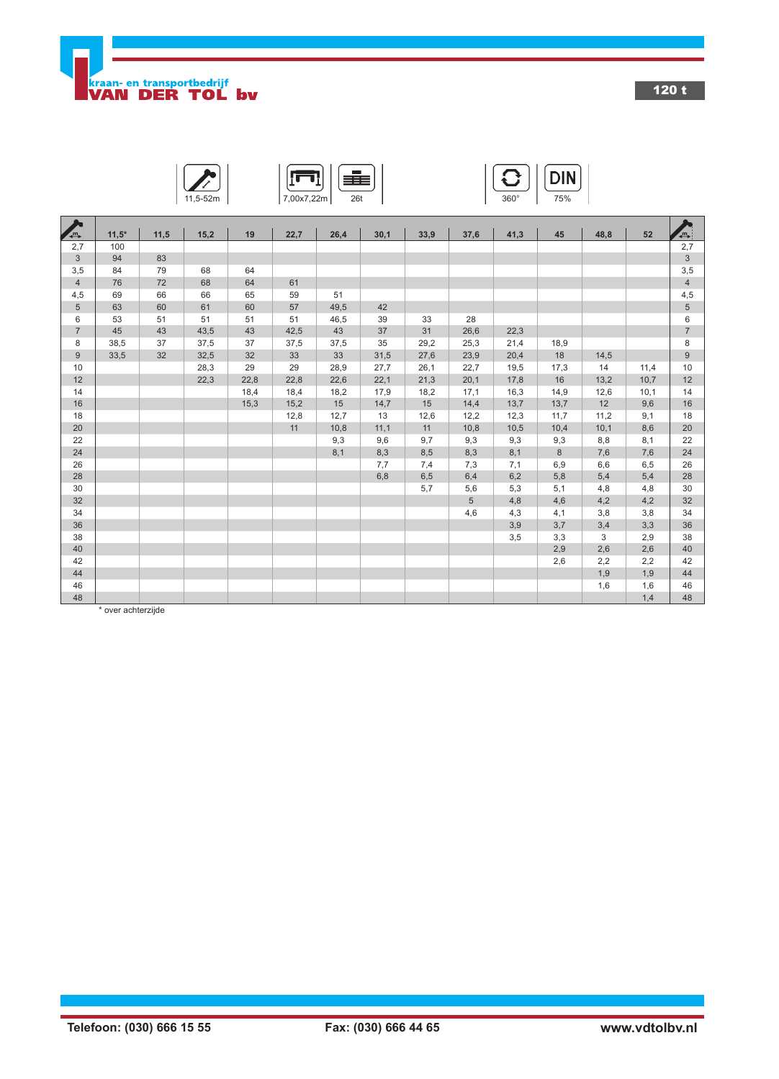

120 t

| 2m |
|----|

$$
\boxed{\blacksquare}{\textcolor{blue}{\textbf{1}}\textcolor{blue}{\textbf{1}}\textcolor{blue}{\textbf{2}}\textcolor{blue}{\textbf{2}}\textcolor{blue}{\textbf{3}}\textcolor{blue}{\textbf{1}}\textcolor{blue}{\textbf{2}}\textcolor{blue}{\textbf{3}}\textcolor{blue}{\textbf{4}}\textcolor{blue}{\textbf{5}}\textcolor{blue}{\textbf{6}}\textcolor{blue}{\textbf{6}}\textcolor{blue}{\textbf{7}}\textcolor{blue}{\textbf{2}}\textcolor{blue}{\textbf{6}}\textcolor{blue}{\textbf{1}}\textcolor{blue}{\textbf{6}}\textcolor{blue}{\textbf{6}}\textcolor{blue}{\textbf{7}}\textcolor{blue}{\textbf{8}}\textcolor{blue}{\textbf{8}}\textcolor{blue}{\textbf{1}}\textcolor{blue}{\textbf{1}}\textcolor{blue}{\textbf{1}}\textcolor{blue}{\textbf{1}}\textcolor{blue}{\textbf{2}}\textcolor{blue}{\textbf{6}}\textcolor{blue}{\textbf{1}}\textcolor{blue}{\textbf{1}}\textcolor{blue}{\textbf{1}}\textcolor{blue}{\textbf{1}}\textcolor{blue}{\textbf{2}}\textcolor{blue}{\textbf{1}}\textcolor{blue}{\textbf{1}}\textcolor{blue}{\textbf{2}}\textcolor{blue}{\textbf{1}}\textcolor{blue}{\textbf{1}}\textcolor{blue}{\textbf{2}}\textcolor{blue}{\textbf{1}}\textcolor{blue}{\textbf{1}}\textcolor{blue}{\textbf{2}}\textcolor{blue}{\textbf{1}}\textcolor{blue}{\textbf{1}}\textcolor{blue}{\textbf{1}}\textcolor{blue}{\textbf{1}}\textcolor{blue}{\textbf{1}}\textcolor{blue}{\textbf{2}}\textcolor{blue}{\textbf{1}}\textcolor{blue}{\textbf{1}}\textcolor{blue}{\textbf{1}}\textcolor{blue}{\textbf{2}}\textcolor{blue}{\textbf{1}}\textcolor{blue}{\textbf{1}}\textcolor{blue}{\textbf{1}}\textcolor{blue}{\textbf{2}}\textcolor{blue}{\textbf{1}}\textcolor{blue}{\textbf{1}}\textcolor{blue}{\textbf{2}}\textcolor{blue}{\textbf{1}}\textcolor{blue}{\textbf{1}}\textcolor{blue}{\textbf{2}}\textcolor{blue}{\textbf{1}}\textcolor{blue}{\textbf
$$

$$
\sum_{11,5-52m} \left| \left| \overline{\text{[T1]}} \right| \left| \overline{\text{[F1]}} \right| \right|
$$

|                | $11,5*$ | 11,5 | 15,2 | 19   | 22,7 | 26,4 | 30,1 | 33,9 | 37,6            | 41,3 | 45   | 48,8 | 52   | $\sum_{i=1}^n$ |
|----------------|---------|------|------|------|------|------|------|------|-----------------|------|------|------|------|----------------|
| 2,7            | 100     |      |      |      |      |      |      |      |                 |      |      |      |      | 2,7            |
| $\mathfrak{S}$ | 94      | 83   |      |      |      |      |      |      |                 |      |      |      |      | $\mathfrak{S}$ |
| 3,5            | 84      | 79   | 68   | 64   |      |      |      |      |                 |      |      |      |      | 3,5            |
| $\overline{4}$ | 76      | 72   | 68   | 64   | 61   |      |      |      |                 |      |      |      |      | $\overline{4}$ |
| 4,5            | 69      | 66   | 66   | 65   | 59   | 51   |      |      |                 |      |      |      |      | 4,5            |
| 5              | 63      | 60   | 61   | 60   | 57   | 49,5 | 42   |      |                 |      |      |      |      | $\sqrt{5}$     |
| 6              | 53      | 51   | 51   | 51   | 51   | 46,5 | 39   | 33   | 28              |      |      |      |      | 6              |
| $\overline{7}$ | 45      | 43   | 43,5 | 43   | 42,5 | 43   | 37   | 31   | 26,6            | 22,3 |      |      |      | $\overline{7}$ |
| 8              | 38,5    | 37   | 37,5 | 37   | 37,5 | 37,5 | 35   | 29,2 | 25,3            | 21,4 | 18,9 |      |      | 8              |
| 9              | 33,5    | 32   | 32,5 | 32   | 33   | 33   | 31,5 | 27,6 | 23,9            | 20,4 | 18   | 14,5 |      | $9\,$          |
| 10             |         |      | 28,3 | 29   | 29   | 28,9 | 27,7 | 26,1 | 22,7            | 19,5 | 17,3 | 14   | 11,4 | 10             |
| 12             |         |      | 22,3 | 22,8 | 22,8 | 22,6 | 22,1 | 21,3 | 20,1            | 17,8 | 16   | 13,2 | 10,7 | 12             |
| 14             |         |      |      | 18,4 | 18,4 | 18,2 | 17,9 | 18,2 | 17,1            | 16,3 | 14,9 | 12,6 | 10,1 | 14             |
| 16             |         |      |      | 15,3 | 15,2 | 15   | 14,7 | 15   | 14,4            | 13,7 | 13,7 | 12   | 9,6  | 16             |
| 18             |         |      |      |      | 12,8 | 12,7 | 13   | 12,6 | 12,2            | 12,3 | 11,7 | 11,2 | 9,1  | 18             |
| 20             |         |      |      |      | 11   | 10,8 | 11,1 | 11   | 10,8            | 10,5 | 10,4 | 10,1 | 8,6  | 20             |
| 22             |         |      |      |      |      | 9,3  | 9,6  | 9,7  | 9,3             | 9,3  | 9,3  | 8,8  | 8,1  | 22             |
| 24             |         |      |      |      |      | 8,1  | 8,3  | 8,5  | 8,3             | 8,1  | 8    | 7,6  | 7,6  | 24             |
| 26             |         |      |      |      |      |      | 7,7  | 7,4  | 7,3             | 7,1  | 6,9  | 6,6  | 6,5  | 26             |
| 28             |         |      |      |      |      |      | 6,8  | 6,5  | 6,4             | 6,2  | 5,8  | 5,4  | 5,4  | 28             |
| 30             |         |      |      |      |      |      |      | 5,7  | 5,6             | 5,3  | 5,1  | 4,8  | 4,8  | 30             |
| 32             |         |      |      |      |      |      |      |      | $5\phantom{.0}$ | 4,8  | 4,6  | 4,2  | 4,2  | 32             |
| 34             |         |      |      |      |      |      |      |      | 4,6             | 4,3  | 4,1  | 3,8  | 3,8  | 34             |
| 36             |         |      |      |      |      |      |      |      |                 | 3,9  | 3,7  | 3,4  | 3,3  | 36             |
| 38             |         |      |      |      |      |      |      |      |                 | 3,5  | 3,3  | 3    | 2,9  | 38             |
| 40             |         |      |      |      |      |      |      |      |                 |      | 2,9  | 2,6  | 2,6  | 40             |
| 42             |         |      |      |      |      |      |      |      |                 |      | 2,6  | 2,2  | 2,2  | 42             |
| 44             |         |      |      |      |      |      |      |      |                 |      |      | 1,9  | 1,9  | 44             |
| 46             |         |      |      |      |      |      |      |      |                 |      |      | 1,6  | 1,6  | 46             |
| 48             |         |      |      |      |      |      |      |      |                 |      |      |      | 1,4  | 48             |

\* over achterzijde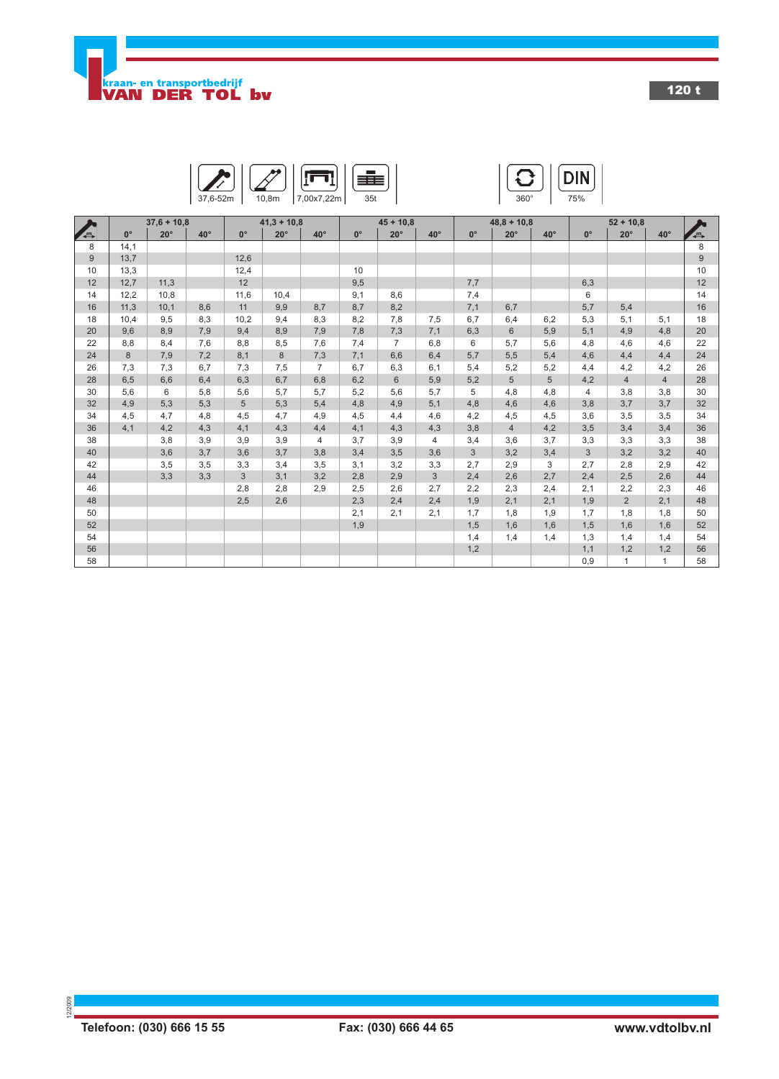

120 t





|       |             | $37,6 + 10,8$ |              |                 | $41,3 + 10,8$ | $45 + 10.8$<br>$48,8 + 10,8$ |             |                | $52 + 10,8$ |                |                |            |                |                |                |                |
|-------|-------------|---------------|--------------|-----------------|---------------|------------------------------|-------------|----------------|-------------|----------------|----------------|------------|----------------|----------------|----------------|----------------|
| A     | $0^{\circ}$ | $20^{\circ}$  | $40^{\circ}$ | $0^{\circ}$     | $20^\circ$    | $40^{\circ}$                 | $0^{\circ}$ | $20^\circ$     | $40^\circ$  | $0^{\circ}$    | $20^\circ$     | $40^\circ$ | $0^{\circ}$    | $20^{\circ}$   | $40^{\circ}$   | $\overline{a}$ |
| 8     | 14,1        |               |              |                 |               |                              |             |                |             |                |                |            |                |                |                | 8              |
| $9\,$ | 13,7        |               |              | 12,6            |               |                              |             |                |             |                |                |            |                |                |                | 9              |
| 10    | 13,3        |               |              | 12,4            |               |                              | 10          |                |             |                |                |            |                |                |                | 10             |
| 12    | 12,7        | 11,3          |              | 12              |               |                              | 9,5         |                |             | 7,7            |                |            | 6,3            |                |                | 12             |
| 14    | 12,2        | 10,8          |              | 11,6            | 10,4          |                              | 9,1         | 8,6            |             | 7,4            |                |            | 6              |                |                | 14             |
| 16    | 11,3        | 10,1          | 8,6          | 11              | 9,9           | 8,7                          | 8,7         | 8,2            |             | 7,1            | 6,7            |            | 5,7            | 5,4            |                | 16             |
| 18    | 10,4        | 9,5           | 8.3          | 10,2            | 9,4           | 8,3                          | 8,2         | 7,8            | 7,5         | 6,7            | 6,4            | 6.2        | 5,3            | 5,1            | 5,1            | 18             |
| 20    | 9,6         | 8,9           | 7.9          | 9,4             | 8,9           | 7,9                          | 7,8         | 7,3            | 7,1         | 6,3            | 6              | 5,9        | 5,1            | 4,9            | 4.8            | 20             |
| 22    | 8,8         | 8,4           | 7,6          | 8,8             | 8,5           | 7,6                          | 7,4         | $\overline{7}$ | 6,8         | 6              | 5,7            | 5,6        | 4,8            | 4,6            | 4,6            | 22             |
| 24    | 8           | 7,9           | 7,2          | 8,1             | 8             | 7,3                          | 7,1         | 6,6            | 6,4         | 5,7            | 5,5            | 5,4        | 4,6            | 4,4            | 4,4            | 24             |
| 26    | 7,3         | 7,3           | 6.7          | 7,3             | 7,5           | $\overline{7}$               | 6,7         | 6,3            | 6,1         | 5,4            | 5,2            | 5,2        | 4,4            | 4,2            | 4,2            | 26             |
| 28    | 6,5         | 6,6           | 6.4          | 6,3             | 6,7           | 6,8                          | 6,2         | 6              | 5,9         | 5,2            | 5              | 5          | 4,2            | $\overline{4}$ | $\overline{4}$ | 28             |
| 30    | 5,6         | 6             | 5,8          | 5,6             | 5,7           | 5,7                          | 5,2         | 5,6            | 5,7         | 5              | 4,8            | 4,8        | 4              | 3,8            | 3,8            | 30             |
| 32    | 4,9         | 5,3           | 5,3          | $5\phantom{.0}$ | 5,3           | 5,4                          | 4,8         | 4,9            | 5,1         | 4,8            | 4,6            | 4,6        | 3,8            | 3,7            | 3,7            | 32             |
| 34    | 4,5         | 4,7           | 4,8          | 4,5             | 4,7           | 4,9                          | 4,5         | 4,4            | 4,6         | 4,2            | 4,5            | 4,5        | 3,6            | 3,5            | 3,5            | 34             |
| 36    | 4,1         | 4,2           | 4.3          | 4,1             | 4,3           | 4,4                          | 4.1         | 4,3            | 4,3         | 3,8            | $\overline{4}$ | 4,2        | 3,5            | 3,4            | 3.4            | 36             |
| 38    |             | 3,8           | 3,9          | 3,9             | 3,9           | 4                            | 3,7         | 3,9            | 4           | 3,4            | 3,6            | 3,7        | 3,3            | 3,3            | 3,3            | 38             |
| 40    |             | 3,6           | 3.7          | 3,6             | 3,7           | 3,8                          | 3,4         | 3,5            | 3,6         | $\mathfrak{S}$ | 3,2            | 3,4        | $\mathfrak{S}$ | 3,2            | 3,2            | 40             |
| 42    |             | 3,5           | 3,5          | 3,3             | 3,4           | 3,5                          | 3,1         | 3,2            | 3,3         | 2,7            | 2,9            | 3          | 2,7            | 2,8            | 2,9            | 42             |
| 44    |             | 3,3           | 3,3          | 3               | 3,1           | 3,2                          | 2,8         | 2,9            | 3           | 2,4            | 2,6            | 2,7        | 2,4            | 2,5            | 2,6            | 44             |
| 46    |             |               |              | 2,8             | 2,8           | 2,9                          | 2,5         | 2,6            | 2,7         | 2,2            | 2,3            | 2,4        | 2,1            | 2,2            | 2,3            | 46             |
| 48    |             |               |              | 2,5             | 2,6           |                              | 2,3         | 2,4            | 2,4         | 1,9            | 2,1            | 2,1        | 1,9            | $\overline{2}$ | 2,1            | 48             |
| 50    |             |               |              |                 |               |                              | 2,1         | 2,1            | 2,1         | 1,7            | 1,8            | 1,9        | 1,7            | 1,8            | 1,8            | 50             |
| 52    |             |               |              |                 |               |                              | 1,9         |                |             | 1,5            | 1,6            | 1,6        | 1,5            | 1,6            | 1,6            | 52             |
| 54    |             |               |              |                 |               |                              |             |                |             | 1,4            | 1,4            | 1,4        | 1,3            | 1,4            | 1,4            | 54             |
| 56    |             |               |              |                 |               |                              |             |                |             | 1,2            |                |            | 1,1            | 1,2            | 1,2            | 56             |
| 58    |             |               |              |                 |               |                              |             |                |             |                |                |            | 0,9            | $\mathbf{1}$   | $\mathbf{1}$   | 58             |

12/2009